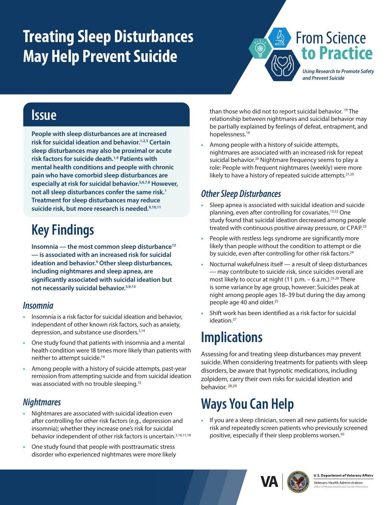# <span id="page-0-0"></span>**Treating Sleep Disturbances May Help Prevent Suicide**



*and Prevent Suicide*

### **Issue**

**People with sleep disturbances are at increased risk for suicidal ideation and behavior[.1,2,3](#page-1-0) Certain sleep disturbances may also be proximal or acute risk factors for suicide death.[1,4](#page-1-0) Patients with mental health conditions and people with chronic pain who have comorbid sleep disturbances are especially at risk for suicidal behavior.[5,6,7,8](#page-1-0) However, not all sleep disturbances confer the same risk.1 Treatment for sleep disturbances may reduce suicide risk, but more research is needed[.9,10,11](#page-1-0)**

### **Key Findings**

**Insomnia — the most common sleep disturbance[12](#page-1-0) — is associated with an increased risk for suicidal ideation and behavior[.4](#page-1-0) Other sleep disturbances, including nightmares and sleep apnea, are significantly associated with suicidal ideation but not necessarily suicidal behavior.[3,9,13](#page-1-0)**

#### *Insomnia*

- **•** Insomnia is a risk factor for suicidal ideation and behavior, independent of other known risk factors, such as anxiety, depression, and substance use disorders[.3,14](#page-1-0)
- **•** One study found that patients with insomnia and a mental health condition were 18 times more likely than patients with neither to attempt suicide[.14](#page-1-0)
- **•** Among people with a history of suicide attempts, past-year remission from attempting suicide and from suicidal ideation was associated with no trouble sleeping.<sup>15</sup>

#### *Nightmares*

- **•** Nightmares are associated with suicidal ideation even after controlling for other risk factors (e.g., depression and insomnia); whether they increase one's risk for suicidal behavior independent of other risk factors is uncertain.<sup>[3,16,17,18](#page-1-0)</sup>
- **•** One study found that people with posttraumatic stress disorder who experienced nightmares were more likely

than those who did not to report suicidal behavior.<sup>19</sup> The relationship between nightmares and suicidal behavior may be partially explained by feelings of defeat, entrapment, and hopelessness[.19](#page-1-0)

**•** Among people with a history of suicide attempts, nightmares are associated with an increased risk for repeat suicidal behavior.<sup>20</sup> Nightmare frequency seems to play a role: People with frequent nightmares (weekly) were more likely to have a history of repeated suicide attempts.<sup>21,20</sup>

#### *Other Sleep Disturbances*

- **•** Sleep apnea is associated with suicidal ideation and suicide planning, even after controlling for covariates.[13,22](#page-1-0) One study found that suicidal ideation decreased among people treated with continuous positive airway pressure, or CPAP.<sup>23</sup>
- **•** People with restless legs syndrome are significantly more likely than people without the condition to attempt or die by suicide, even after controlling for other risk factors.<sup>24</sup>
- **•** Nocturnal wakefulness itself a result of sleep disturbances — may contribute to suicide risk, since suicides overall are most likely to occur at night  $(11 p.m. - 6 a.m.).$ <sup>25,26</sup> There is some variance by age group, however: Suicides peak at night among people ages 18–39 but during the day among people age 40 and older.<sup>25</sup>
- **•** Shift work has been identified as a risk factor for suicidal ideation.<sup>27</sup>

### **Implications**

Assessing for and treating sleep disturbances may prevent suicide. When considering treatments for patients with sleep disorders, be aware that hypnotic medications, including zolpidem, carry their own risks for suicidal ideation and behavior. [28,29](#page-1-0)

## **Ways You Can Help**

**•** If you are a sleep clinician, screen all new patients for suicide risk and repeatedly screen patients who previously screened positive, especially if their sleep problems worsen[.30](#page-1-0)





Veterans Health Administration